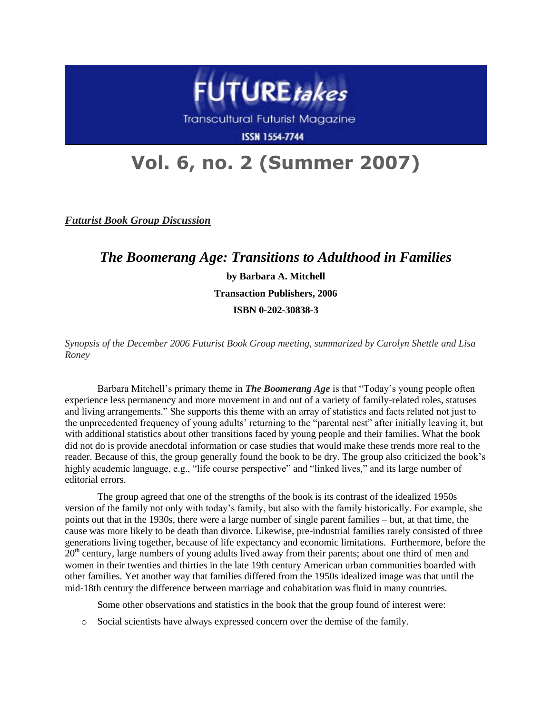

Transcultural Futurist Magazine

**ISSN 1554-7744** 

## **Vol. 6, no. 2 (Summer 2007)**

*Futurist Book Group Discussion*

*The Boomerang Age: Transitions to Adulthood in Families* **by Barbara A. Mitchell Transaction Publishers, 2006 ISBN 0-202-30838-3**

*Synopsis of the December 2006 Futurist Book Group meeting, summarized by Carolyn Shettle and Lisa Roney*

Barbara Mitchell's primary theme in *The Boomerang Age* is that "Today's young people often experience less permanency and more movement in and out of a variety of family-related roles, statuses and living arrangements." She supports this theme with an array of statistics and facts related not just to the unprecedented frequency of young adults' returning to the "parental nest" after initially leaving it, but with additional statistics about other transitions faced by young people and their families. What the book did not do is provide anecdotal information or case studies that would make these trends more real to the reader. Because of this, the group generally found the book to be dry. The group also criticized the book's highly academic language, e.g., "life course perspective" and "linked lives," and its large number of editorial errors.

The group agreed that one of the strengths of the book is its contrast of the idealized 1950s version of the family not only with today's family, but also with the family historically. For example, she points out that in the 1930s, there were a large number of single parent families – but, at that time, the cause was more likely to be death than divorce. Likewise, pre-industrial families rarely consisted of three generations living together, because of life expectancy and economic limitations. Furthermore, before the 20<sup>th</sup> century, large numbers of young adults lived away from their parents; about one third of men and women in their twenties and thirties in the late 19th century American urban communities boarded with other families. Yet another way that families differed from the 1950s idealized image was that until the mid-18th century the difference between marriage and cohabitation was fluid in many countries.

Some other observations and statistics in the book that the group found of interest were:

o Social scientists have always expressed concern over the demise of the family.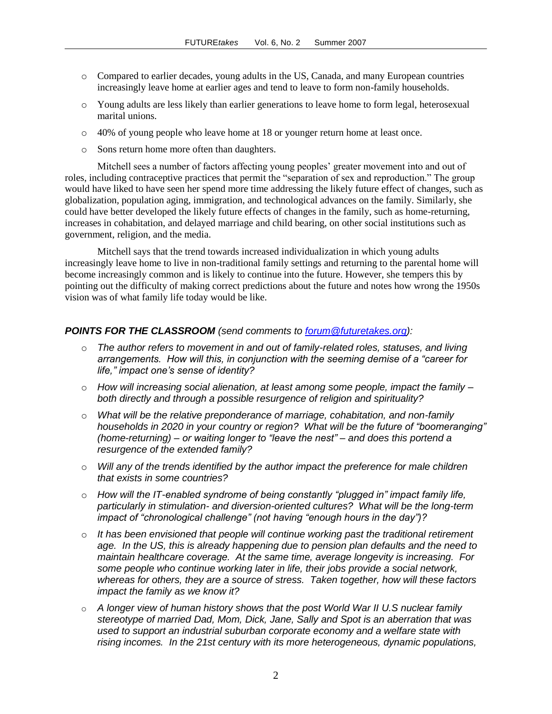- o Compared to earlier decades, young adults in the US, Canada, and many European countries increasingly leave home at earlier ages and tend to leave to form non-family households.
- o Young adults are less likely than earlier generations to leave home to form legal, heterosexual marital unions.
- o 40% of young people who leave home at 18 or younger return home at least once.
- o Sons return home more often than daughters.

Mitchell sees a number of factors affecting young peoples' greater movement into and out of roles, including contraceptive practices that permit the "separation of sex and reproduction." The group would have liked to have seen her spend more time addressing the likely future effect of changes, such as globalization, population aging, immigration, and technological advances on the family. Similarly, she could have better developed the likely future effects of changes in the family, such as home-returning, increases in cohabitation, and delayed marriage and child bearing, on other social institutions such as government, religion, and the media.

Mitchell says that the trend towards increased individualization in which young adults increasingly leave home to live in non-traditional family settings and returning to the parental home will become increasingly common and is likely to continue into the future. However, she tempers this by pointing out the difficulty of making correct predictions about the future and notes how wrong the 1950s vision was of what family life today would be like.

## *POINTS FOR THE CLASSROOM (send comments to [forum@futuretakes.org\)](mailto:forum@futuretakes.org):*

- o *The author refers to movement in and out of family-related roles, statuses, and living arrangements. How will this, in conjunction with the seeming demise of a "career for life," impact one's sense of identity?*
- o *How will increasing social alienation, at least among some people, impact the family – both directly and through a possible resurgence of religion and spirituality?*
- o *What will be the relative preponderance of marriage, cohabitation, and non-family households in 2020 in your country or region? What will be the future of "boomeranging" (home-returning) – or waiting longer to "leave the nest" – and does this portend a resurgence of the extended family?*
- o *Will any of the trends identified by the author impact the preference for male children that exists in some countries?*
- o *How will the IT-enabled syndrome of being constantly "plugged in" impact family life, particularly in stimulation- and diversion-oriented cultures? What will be the long-term impact of "chronological challenge" (not having "enough hours in the day")?*
- o *It has been envisioned that people will continue working past the traditional retirement age. In the US, this is already happening due to pension plan defaults and the need to maintain healthcare coverage. At the same time, average longevity is increasing. For some people who continue working later in life, their jobs provide a social network, whereas for others, they are a source of stress. Taken together, how will these factors impact the family as we know it?*
- o *A longer view of human history shows that the post World War II U.S nuclear family stereotype of married Dad, Mom, Dick, Jane, Sally and Spot is an aberration that was used to support an industrial suburban corporate economy and a welfare state with rising incomes. In the 21st century with its more heterogeneous, dynamic populations,*